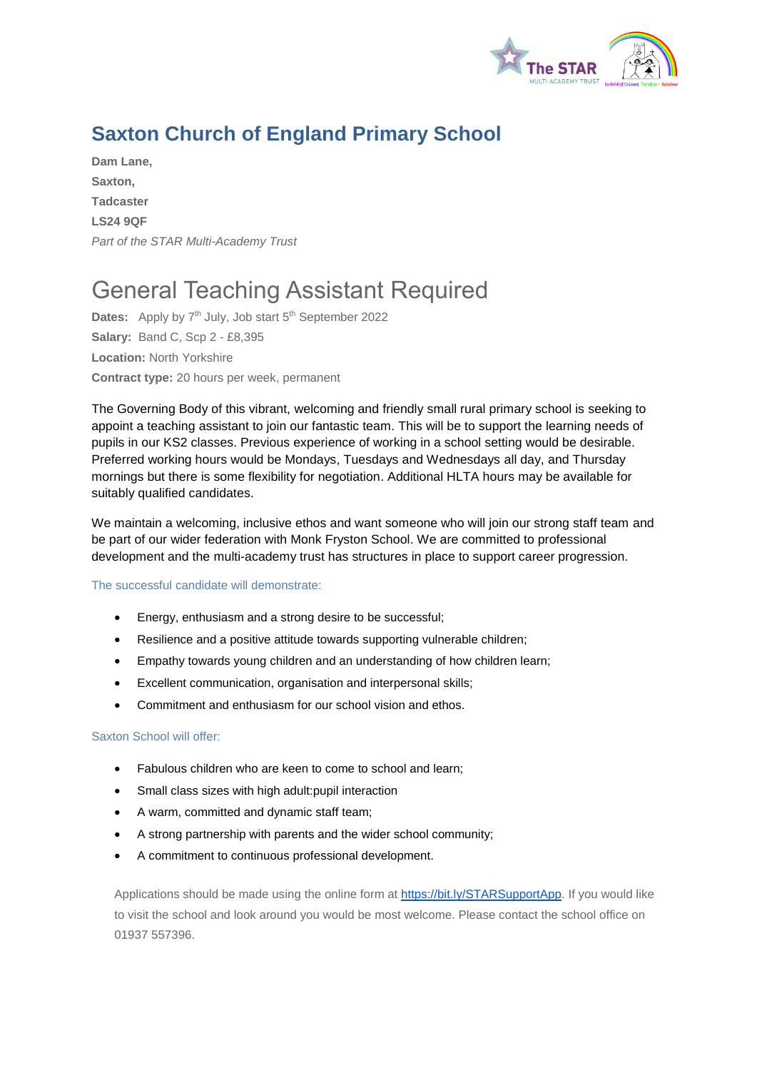

## **Saxton Church of England Primary School**

**Dam Lane, Saxton, Tadcaster LS24 9QF** *Part of the STAR Multi-Academy Trust*

# General Teaching Assistant Required

Dates: Apply by 7<sup>th</sup> July, Job start 5<sup>th</sup> September 2022 **Salary:** Band C, Scp 2 - £8,395 **Location:** North Yorkshire **Contract type:** 20 hours per week, permanent

The Governing Body of this vibrant, welcoming and friendly small rural primary school is seeking to appoint a teaching assistant to join our fantastic team. This will be to support the learning needs of pupils in our KS2 classes. Previous experience of working in a school setting would be desirable. Preferred working hours would be Mondays, Tuesdays and Wednesdays all day, and Thursday mornings but there is some flexibility for negotiation. Additional HLTA hours may be available for suitably qualified candidates.

We maintain a welcoming, inclusive ethos and want someone who will join our strong staff team and be part of our wider federation with Monk Fryston School. We are committed to professional development and the multi-academy trust has structures in place to support career progression.

#### The successful candidate will demonstrate:

- Energy, enthusiasm and a strong desire to be successful;
- Resilience and a positive attitude towards supporting vulnerable children;
- Empathy towards young children and an understanding of how children learn;
- Excellent communication, organisation and interpersonal skills;
- Commitment and enthusiasm for our school vision and ethos.

#### Saxton School will offer:

- Fabulous children who are keen to come to school and learn;
- Small class sizes with high adult: pupil interaction
- A warm, committed and dynamic staff team;
- A strong partnership with parents and the wider school community;
- A commitment to continuous professional development.

Applications should be made using the online form at [https://bit.ly/STARSupportApp.](https://bit.ly/STARSupportApp) If you would like to visit the school and look around you would be most welcome. Please contact the school office on 01937 557396.